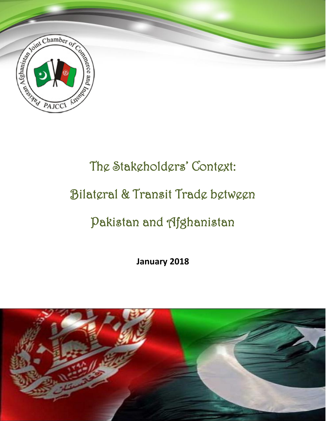

# The Stakeholders' Context:

### Bilateral & Transit Trade between

## Pakistan and Afghanistan

**January 2018**

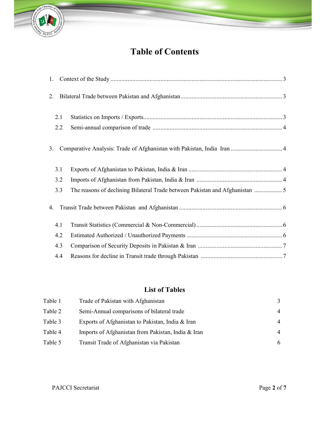

### **Table of Contents**

|    | 1.  |                                                                             |  |  |  |  |
|----|-----|-----------------------------------------------------------------------------|--|--|--|--|
| 2. |     |                                                                             |  |  |  |  |
|    | 2.1 |                                                                             |  |  |  |  |
|    | 2.2 |                                                                             |  |  |  |  |
| 3. |     | Comparative Analysis: Trade of Afghanistan with Pakistan, India Iran  4     |  |  |  |  |
|    | 3.1 |                                                                             |  |  |  |  |
|    | 3.2 |                                                                             |  |  |  |  |
|    | 3.3 | The reasons of declining Bilateral Trade between Pakistan and Afghanistan 5 |  |  |  |  |
| 4. |     |                                                                             |  |  |  |  |
|    | 4.1 |                                                                             |  |  |  |  |
|    | 4.2 |                                                                             |  |  |  |  |
|    | 4.3 |                                                                             |  |  |  |  |
|    | 4.4 |                                                                             |  |  |  |  |

#### **List of Tables**

| Table 1 | Trade of Pakistan with Afghanistan                 | 3              |
|---------|----------------------------------------------------|----------------|
| Table 2 | Semi-Annual comparisons of bilateral trade         | 4              |
| Table 3 | Exports of Afghanistan to Pakistan, India & Iran   | 4              |
| Table 4 | Imports of Afghanistan from Pakistan, India & Iran | $\overline{4}$ |
| Table 5 | Transit Trade of Afghanistan via Pakistan          | 6              |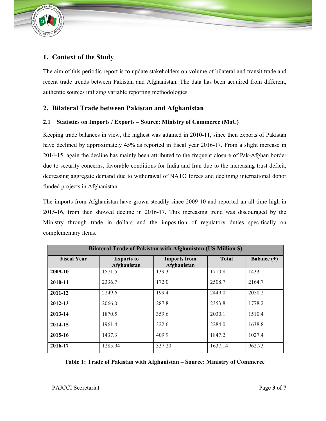

#### **1. Context of the Study**

The aim of this periodic report is to update stakeholders on volume of bilateral and transit trade and recent trade trends between Pakistan and Afghanistan. The data has been acquired from different, authentic sources utilizing variable reporting methodologies.

#### **2. Bilateral Trade between Pakistan and Afghanistan**

#### **2.1 Statistics on Imports / Exports – Source: Ministry of Commerce (MoC)**

Keeping trade balances in view, the highest was attained in 2010-11, since then exports of Pakistan have declined by approximately 45% as reported in fiscal year 2016-17. From a slight increase in 2014-15, again the decline has mainly been attributed to the frequent closure of Pak-Afghan border due to security concerns, favorable conditions for India and Iran due to the increasing trust deficit, decreasing aggregate demand due to withdrawal of NATO forces and declining international donor funded projects in Afghanistan.

The imports from Afghanistan have grown steadily since 2009-10 and reported an all-time high in 2015-16, from then showed decline in 2016-17. This increasing trend was discouraged by the Ministry through trade in dollars and the imposition of regulatory duties specifically on complementary items.

| <b>Bilateral Trade of Pakistan with Afghanistan (US Million \$)</b>                                                           |         |        |         |        |  |  |
|-------------------------------------------------------------------------------------------------------------------------------|---------|--------|---------|--------|--|--|
| <b>Fiscal Year</b><br><b>Total</b><br><b>Imports from</b><br>Balance $(+)$<br><b>Exports to</b><br>Afghanistan<br>Afghanistan |         |        |         |        |  |  |
| 2009-10                                                                                                                       | 1571.5  | 139.3  | 1710.8  | 1433   |  |  |
| 2010-11                                                                                                                       | 2336.7  | 172.0  | 2508.7  | 2164.7 |  |  |
| 2011-12                                                                                                                       | 2249.6  | 199.4  | 2449.0  | 2050.2 |  |  |
| 2012-13                                                                                                                       | 2066.0  | 287.8  | 2353.8  | 1778.2 |  |  |
| 2013-14                                                                                                                       | 1870.5  | 359.6  | 2030.1  | 1510.4 |  |  |
| 2014-15                                                                                                                       | 1961.4  | 322.6  | 2284.0  | 1638.8 |  |  |
| 2015-16                                                                                                                       | 1437.3  | 409.9  | 1847.2  | 1027.4 |  |  |
| 2016-17                                                                                                                       | 1285.94 | 337.20 | 1637.14 | 962.73 |  |  |

**Table 1: Trade of Pakistan with Afghanistan – Source: Ministry of Commerce**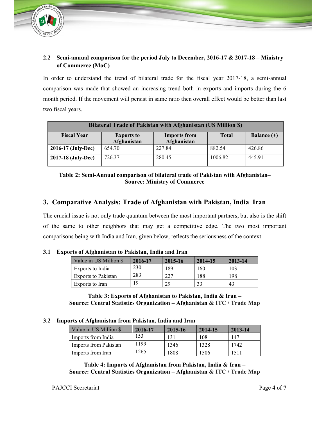

#### **2.2 Semi-annual comparison for the period July to December, 2016-17 & 2017-18 – Ministry of Commerce (MoC)**

In order to understand the trend of bilateral trade for the fiscal year 2017-18, a semi-annual comparison was made that showed an increasing trend both in exports and imports during the 6 month period. If the movement will persist in same ratio then overall effect would be better than last two fiscal years.

| Bilateral Trade of Pakistan with Afghanistan (US Million \$)                                                                  |        |        |         |        |  |  |
|-------------------------------------------------------------------------------------------------------------------------------|--------|--------|---------|--------|--|--|
| <b>Fiscal Year</b><br><b>Total</b><br><b>Imports from</b><br>Balance $(+)$<br><b>Exports to</b><br>Afghanistan<br>Afghanistan |        |        |         |        |  |  |
| 2016-17 (July-Dec)                                                                                                            | 654.70 | 227.84 | 882.54  | 426.86 |  |  |
| 2017-18 (July-Dec)                                                                                                            | 726.37 | 280.45 | 1006.82 | 445.91 |  |  |

#### **Table 2: Semi-Annual comparison of bilateral trade of Pakistan with Afghanistan– Source: Ministry of Commerce**

#### **3. Comparative Analysis: Trade of Afghanistan with Pakistan, India Iran**

The crucial issue is not only trade quantum between the most important partners, but also is the shift of the same to other neighbors that may get a competitive edge. The two most important comparisons being with India and Iran, given below, reflects the seriousness of the context.

|  |  | 3.1 Exports of Afghanistan to Pakistan, India and Iran |
|--|--|--------------------------------------------------------|
|--|--|--------------------------------------------------------|

| Value in US Million \$     | 2016-17 | 2015-16 | 2014-15 | 2013-14 |
|----------------------------|---------|---------|---------|---------|
| Exports to India           | 230     | 189     | 160     | 103     |
| <b>Exports to Pakistan</b> | 283     | 227     | 188     | 198     |
| Exports to Iran            | 19      | 29      |         | 43      |

**Table 3: Exports of Afghanistan to Pakistan, India & Iran – Source: Central Statistics Organization – Afghanistan & ITC / Trade Map**

#### **3.2 Imports of Afghanistan from Pakistan, India and Iran**

| Value in US Million \$ | 2016-17 | 2015-16 | 2014-15 | 2013-14 |
|------------------------|---------|---------|---------|---------|
| Imports from India     | 153     |         | 108     | 147     |
| Imports from Pakistan  | 1199    | 1346    | 1328    | 1742    |
| Imports from Iran      | 1265    | 1808    | 1506    | 1511    |

**Table 4: Imports of Afghanistan from Pakistan, India & Iran – Source: Central Statistics Organization – Afghanistan & ITC / Trade Map**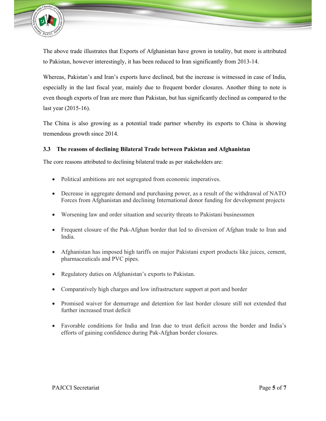

The above trade illustrates that Exports of Afghanistan have grown in totality, but more is attributed to Pakistan, however interestingly, it has been reduced to Iran significantly from 2013-14.

Whereas, Pakistan's and Iran's exports have declined, but the increase is witnessed in case of India, especially in the last fiscal year, mainly due to frequent border closures. Another thing to note is even though exports of Iran are more than Pakistan, but has significantly declined as compared to the last year (2015-16).

The China is also growing as a potential trade partner whereby its exports to China is showing tremendous growth since 2014.

#### **3.3 The reasons of declining Bilateral Trade between Pakistan and Afghanistan**

The core reasons attributed to declining bilateral trade as per stakeholders are:

- Political ambitions are not segregated from economic imperatives.
- Decrease in aggregate demand and purchasing power, as a result of the withdrawal of NATO Forces from Afghanistan and declining International donor funding for development projects
- Worsening law and order situation and security threats to Pakistani businessmen
- Frequent closure of the Pak-Afghan border that led to diversion of Afghan trade to Iran and India.
- Afghanistan has imposed high tariffs on major Pakistani export products like juices, cement, pharmaceuticals and PVC pipes.
- Regulatory duties on Afghanistan's exports to Pakistan.
- Comparatively high charges and low infrastructure support at port and border
- Promised waiver for demurrage and detention for last border closure still not extended that further increased trust deficit
- Favorable conditions for India and Iran due to trust deficit across the border and India's efforts of gaining confidence during Pak-Afghan border closures.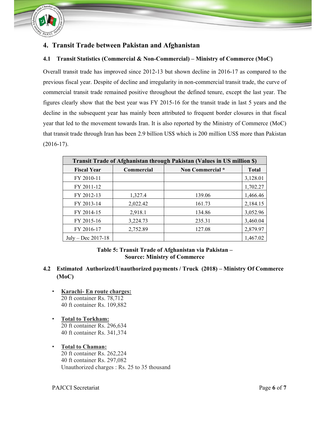

#### **4. Transit Trade between Pakistan and Afghanistan**

#### **4.1 Transit Statistics (Commercial & Non-Commercial) – Ministry of Commerce (MoC)**

Overall transit trade has improved since 2012-13 but shown decline in 2016-17 as compared to the previous fiscal year. Despite of decline and irregularity in non-commercial transit trade, the curve of commercial transit trade remained positive throughout the defined tenure, except the last year. The figures clearly show that the best year was FY 2015-16 for the transit trade in last 5 years and the decline in the subsequent year has mainly been attributed to frequent border closures in that fiscal year that led to the movement towards Iran. It is also reported by the Ministry of Commerce (MoC) that transit trade through Iran has been 2.9 billion US\$ which is 200 million US\$ more than Pakistan (2016-17).

| Transit Trade of Afghanistan through Pakistan (Values in US million \$) |                                |        |          |  |  |  |
|-------------------------------------------------------------------------|--------------------------------|--------|----------|--|--|--|
| <b>Fiscal Year</b>                                                      | Non Commercial *<br>Commercial |        |          |  |  |  |
| FY 2010-11                                                              |                                |        | 3,128.01 |  |  |  |
| FY 2011-12                                                              |                                |        | 1,702.27 |  |  |  |
| FY 2012-13                                                              | 1,327.4                        | 139.06 | 1,466.46 |  |  |  |
| FY 2013-14                                                              | 2,022.42                       | 161.73 | 2,184.15 |  |  |  |
| FY 2014-15                                                              | 2,918.1                        | 134.86 | 3,052.96 |  |  |  |
| FY 2015-16                                                              | 3,224.73                       | 235.31 | 3,460.04 |  |  |  |
| FY 2016-17                                                              | 2,752.89                       | 127.08 | 2,879.97 |  |  |  |
| July – Dec $2017-18$                                                    |                                |        | 1,467.02 |  |  |  |

**Table 5: Transit Trade of Afghanistan via Pakistan – Source: Ministry of Commerce**

#### **4.2 Estimated Authorized/Unauthorized payments / Truck (2018) – Ministry Of Commerce (MoC)**

- **Karachi- En route charges:** 20 ft container Rs. 78,712 40 ft container Rs. 109,882
- **Total to Torkham:** 20 ft container Rs. 296,634 40 ft container Rs. 341,374
- **Total to Chaman:** 20 ft container Rs. 262,224 40 ft container Rs. 297,082 Unauthorized charges : Rs. 25 to 35 thousand